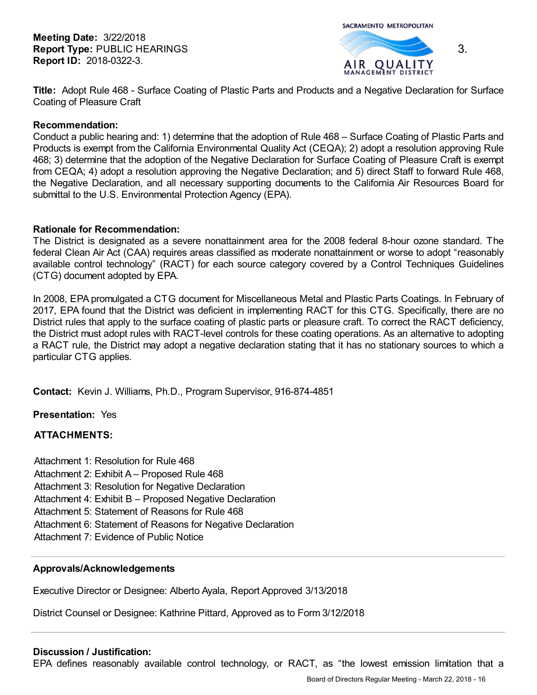**Meeting Date:** 3/22/2018 **Report Type:** PUBLIC HEARINGS **Report ID:** 2018-0322-3.

SACRAMENTO METROPOLITAN



**Title:** Adopt Rule 468 - Surface Coating of Plastic Parts and Products and a Negative Declaration for Surface Coating of Pleasure Craft

### **Recommendation:**

Conduct a public hearing and: 1) determine that the adoption of Rule 468 – Surface Coating of Plastic Parts and Products is exempt from the California Environmental Quality Act (CEQA); 2) adopt a resolution approving Rule 468; 3) determine that the adoption of the Negative Declaration for Surface Coating of Pleasure Craft is exempt from CEQA; 4) adopt a resolution approving the Negative Declaration; and 5) direct Staff to forward Rule 468, the Negative Declaration, and all necessary supporting documents to the California Air Resources Board for submittal to the U.S. Environmental Protection Agency (EPA).

### **Rationale for Recommendation:**

The District is designated as a severe nonattainment area for the 2008 federal 8-hour ozone standard. The federal Clean Air Act (CAA) requires areas classified as moderate nonattainment or worse to adopt "reasonably available control technology" (RACT) for each source category covered by a Control Techniques Guidelines (CTG) document adopted by EPA.

In 2008, EPA promulgated a CTG document for Miscellaneous Metal and Plastic Parts Coatings. In February of 2017, EPA found that the District was deficient in implementing RACT for this CTG. Specifically, there are no District rules that apply to the surface coating of plastic parts or pleasure craft. To correct the RACT deficiency, the District must adopt rules with RACT-level controls for these coating operations. As an alternative to adopting a RACT rule, the District may adopt a negative declaration stating that it has no stationary sources to which a particular CTG applies.

**Contact:** Kevin J. Williams, Ph.D., Program Supervisor, 916-874-4851

**Presentation:** Yes

# **ATTACHMENTS:**

- Attachment 1: Resolution for Rule 468
- Attachment 2: Exhibit A Proposed Rule 468
- Attachment 3: Resolution for Negative Declaration
- Attachment 4: Exhibit B Proposed Negative Declaration
- Attachment 5: Statement of Reasons for Rule 468
- Attachment 6: Statement of Reasons for Negative Declaration
- Attachment 7: Evidence of Public Notice

# **Approvals/Acknowledgements**

Executive Director or Designee: Alberto Ayala, Report Approved 3/13/2018

District Counsel or Designee: Kathrine Pittard, Approved as to Form 3/12/2018

# **Discussion / Justification:**

EPA defines reasonably available control technology, or RACT, as "the lowest emission limitation that a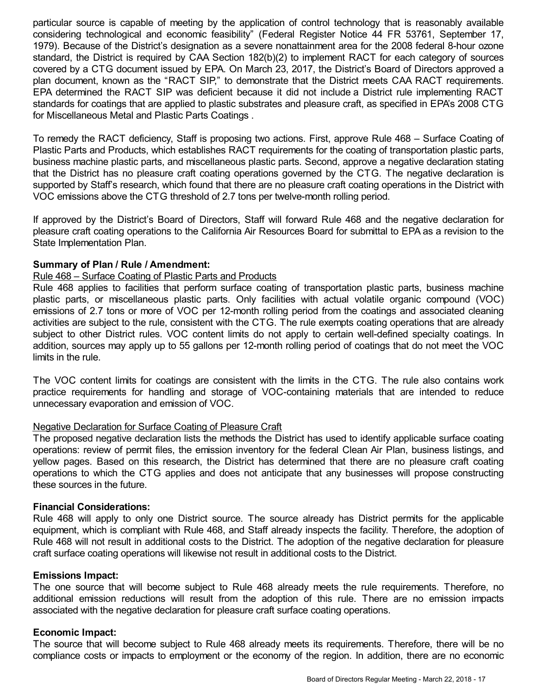particular source is capable of meeting by the application of control technology that is reasonably available considering technological and economic feasibility" (Federal Register Notice 44 FR 53761, September 17, 1979). Because of the District's designation as a severe nonattainment area for the 2008 federal 8-hour ozone standard, the District is required by CAA Section 182(b)(2) to implement RACT for each category of sources covered by a CTG document issued by EPA. On March 23, 2017, the District's Board of Directors approved a plan document, known as the "RACT SIP," to demonstrate that the District meets CAA RACT requirements. EPA determined the RACT SIP was deficient because it did not include a District rule implementing RACT standards for coatings that are applied to plastic substrates and pleasure craft, as specified in EPA's 2008 CTG for Miscellaneous Metal and Plastic Parts Coatings .

To remedy the RACT deficiency, Staff is proposing two actions. First, approve Rule 468 – Surface Coating of Plastic Parts and Products, which establishes RACT requirements for the coating of transportation plastic parts, business machine plastic parts, and miscellaneous plastic parts. Second, approve a negative declaration stating that the District has no pleasure craft coating operations governed by the CTG. The negative declaration is supported by Staff's research, which found that there are no pleasure craft coating operations in the District with VOC emissions above the CTG threshold of 2.7 tons per twelve-month rolling period.

If approved by the District's Board of Directors, Staff will forward Rule 468 and the negative declaration for pleasure craft coating operations to the California Air Resources Board for submittal to EPA as a revision to the State Implementation Plan.

# **Summary of Plan / Rule / Amendment:**

### Rule 468 – Surface Coating of Plastic Parts and Products

Rule 468 applies to facilities that perform surface coating of transportation plastic parts, business machine plastic parts, or miscellaneous plastic parts. Only facilities with actual volatile organic compound (VOC) emissions of 2.7 tons or more of VOC per 12-month rolling period from the coatings and associated cleaning activities are subject to the rule, consistent with the CTG. The rule exempts coating operations that are already subject to other District rules. VOC content limits do not apply to certain well-defined specialty coatings. In addition, sources may apply up to 55 gallons per 12-month rolling period of coatings that do not meet the VOC limits in the rule.

The VOC content limits for coatings are consistent with the limits in the CTG. The rule also contains work practice requirements for handling and storage of VOC-containing materials that are intended to reduce unnecessary evaporation and emission of VOC.

#### Negative Declaration for Surface Coating of Pleasure Craft

The proposed negative declaration lists the methods the District has used to identify applicable surface coating operations: review of permit files, the emission inventory for the federal Clean Air Plan, business listings, and yellow pages. Based on this research, the District has determined that there are no pleasure craft coating operations to which the CTG applies and does not anticipate that any businesses will propose constructing these sources in the future.

#### **Financial Considerations:**

Rule 468 will apply to only one District source. The source already has District permits for the applicable equipment, which is compliant with Rule 468, and Staff already inspects the facility. Therefore, the adoption of Rule 468 will not result in additional costs to the District. The adoption of the negative declaration for pleasure craft surface coating operations will likewise not result in additional costs to the District.

### **Emissions Impact:**

The one source that will become subject to Rule 468 already meets the rule requirements. Therefore, no additional emission reductions will result from the adoption of this rule. There are no emission impacts associated with the negative declaration for pleasure craft surface coating operations.

# **Economic Impact:**

The source that will become subject to Rule 468 already meets its requirements. Therefore, there will be no compliance costs or impacts to employment or the economy of the region. In addition, there are no economic